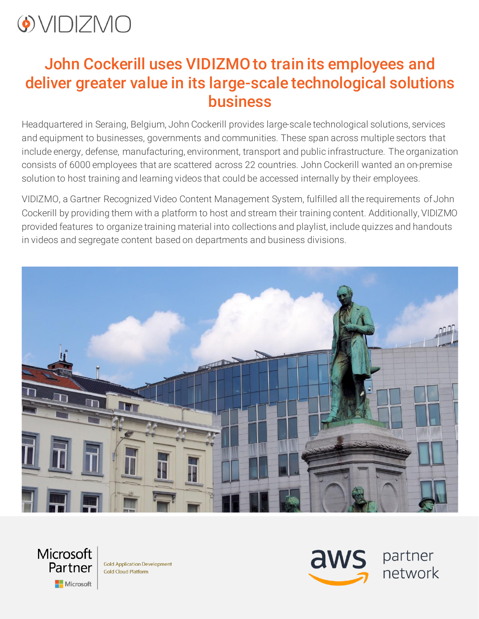

#### John Cockerill uses VIDIZMO to train its employees and deliver greater value in its large-scale technological solutions business

Headquartered in Seraing, Belgium, John Cockerill provides large-scale technological solutions, services and equipment to businesses, governments and communities. These span across multiple sectors that include energy, defense, manufacturing, environment, transport and public infrastructure. The organization consists of 6000 employees that are scattered across 22 countries. John Cockerill wanted an on-premise solution to host training and learning videos that could be accessed internally by their employees.

VIDIZMO, a Gartner Recognized Video Content Management System, fulfilled all the requirements ofJohn Cockerill by providing them with a platform to host and stream their training content. Additionally, VIDIZMO provided features to organize training material into collections and playlist, include quizzes and handouts in videos and segregate content based on departments and business divisions.





**Gold Application Development Gold Cloud Platform** 



partner network